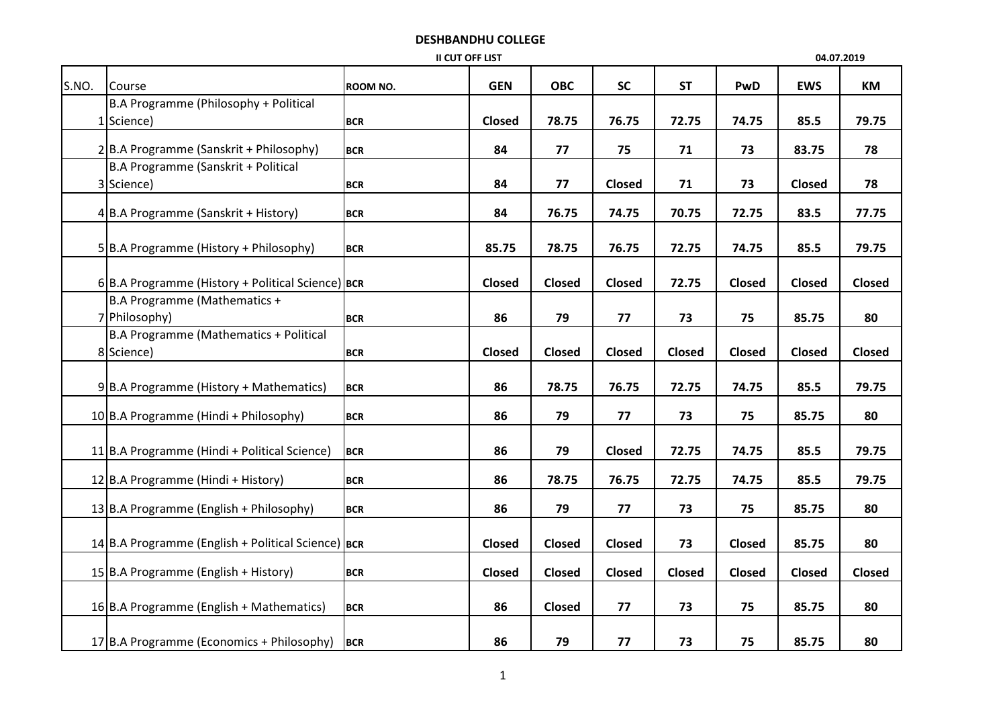## DESHBANDHU COLLEGE

| II CUT OFF LIST |                                                      |            |               |               |               |               |        |            | 04.07.2019 |
|-----------------|------------------------------------------------------|------------|---------------|---------------|---------------|---------------|--------|------------|------------|
| S.NO.           | Course                                               | ROOM NO.   | <b>GEN</b>    | <b>OBC</b>    | <b>SC</b>     | <b>ST</b>     | PwD    | <b>EWS</b> | KM         |
|                 | B.A Programme (Philosophy + Political                |            |               |               |               |               |        |            |            |
|                 | 1 Science)                                           | <b>BCR</b> | Closed        | 78.75         | 76.75         | 72.75         | 74.75  | 85.5       | 79.75      |
|                 | 2B.A Programme (Sanskrit + Philosophy)               | <b>BCR</b> | 84            | 77            | 75            | 71            | 73     | 83.75      | 78         |
|                 | B.A Programme (Sanskrit + Political                  |            |               |               |               |               |        |            |            |
|                 | 3 Science)                                           | <b>BCR</b> | 84            | 77            | Closed        | 71            | 73     | Closed     | 78         |
|                 | 4B.A Programme (Sanskrit + History)                  | <b>BCR</b> | 84            | 76.75         | 74.75         | 70.75         | 72.75  | 83.5       | 77.75      |
|                 | 5 B.A Programme (History + Philosophy)               | <b>BCR</b> | 85.75         | 78.75         | 76.75         | 72.75         | 74.75  | 85.5       | 79.75      |
|                 | 6 B.A Programme (History + Political Science) BCR    |            | Closed        | Closed        | Closed        | 72.75         | Closed | Closed     | Closed     |
|                 | B.A Programme (Mathematics +                         |            |               |               |               |               |        |            |            |
|                 | 7 Philosophy)                                        | <b>BCR</b> | 86            | 79            | 77            | 73            | 75     | 85.75      | 80         |
|                 | B.A Programme (Mathematics + Political<br>8 Science) | <b>BCR</b> | <b>Closed</b> | Closed        | Closed        | <b>Closed</b> | Closed | Closed     | Closed     |
|                 | 9B.A Programme (History + Mathematics)               | <b>BCR</b> | 86            | 78.75         | 76.75         | 72.75         | 74.75  | 85.5       | 79.75      |
|                 | 10 B.A Programme (Hindi + Philosophy)                | <b>BCR</b> | 86            | 79            | 77            | 73            | 75     | 85.75      | 80         |
|                 | 11 B.A Programme (Hindi + Political Science)         | <b>BCR</b> | 86            | 79            | <b>Closed</b> | 72.75         | 74.75  | 85.5       | 79.75      |
|                 | 12 B.A Programme (Hindi + History)                   | <b>BCR</b> | 86            | 78.75         | 76.75         | 72.75         | 74.75  | 85.5       | 79.75      |
|                 | 13 B.A Programme (English + Philosophy)              | <b>BCR</b> | 86            | 79            | 77            | 73            | 75     | 85.75      | 80         |
|                 | 14 B.A Programme (English + Political Science) BCR   |            | Closed        | <b>Closed</b> | Closed        | 73            | Closed | 85.75      | 80         |
|                 | 15 B.A Programme (English + History)                 | <b>BCR</b> | Closed        | Closed        | <b>Closed</b> | <b>Closed</b> | Closed | Closed     | Closed     |
|                 | 16 B.A Programme (English + Mathematics)             | <b>BCR</b> | 86            | Closed        | 77            | 73            | 75     | 85.75      | 80         |
|                 | 17 B.A Programme (Economics + Philosophy)            | <b>BCR</b> | 86            | 79            | 77            | 73            | 75     | 85.75      | 80         |